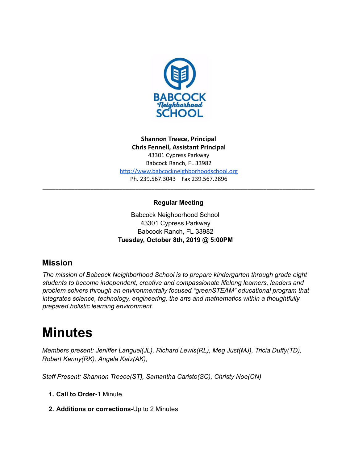

**Shannon Treece, Principal Chris Fennell, Assistant Principal** 43301 Cypress Parkway Babcock Ranch, FL 33982 http://www.babcockneighborhoodschool.org Ph. 239.567.3043 Fax 239.567.2896

## **Regular Meeting**

**\_\_\_\_\_\_\_\_\_\_\_\_\_\_\_\_\_\_\_\_\_\_\_\_\_\_\_\_\_\_\_\_\_\_\_\_\_\_\_\_\_\_\_\_\_\_\_\_\_\_\_\_\_\_\_\_\_\_\_\_\_\_\_\_\_\_\_\_\_\_\_\_\_\_\_\_\_\_\_\_\_\_\_\_\_**

Babcock Neighborhood School 43301 Cypress Parkway Babcock Ranch, FL 33982 **Tuesday, October 8th, 2019 @ 5:00PM**

# **Mission**

*The mission of Babcock Neighborhood School is to prepare kindergarten through grade eight students to become independent, creative and compassionate lifelong learners, leaders and problem solvers through an environmentally focused "greenSTEAM" educational program that integrates science, technology, engineering, the arts and mathematics within a thoughtfully prepared holistic learning environment.*

# **Minutes**

*Members present: Jeniffer Languel(JL), Richard Lewis(RL), Meg Just(MJ), Tricia Duffy(TD), Robert Kenny(RK), Angela Katz(AK),*

*Staff Present: Shannon Treece(ST), Samantha Caristo(SC), Christy Noe(CN)*

- **1. Call to Order-**1 Minute
- **2. Additions or corrections-**Up to 2 Minutes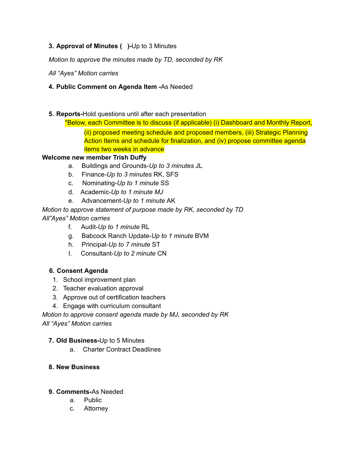## **3. Approval of Minutes ( )-**Up to 3 Minutes

*Motion to approve the minutes made by TD, seconded by RK*

*All "Ayes" Motion carries*

## **4. Public Comment on Agenda Item -**As Needed

**5. Reports-**Hold questions until after each presentation

\*Below, each Committee is to discuss (if applicable) (i) Dashboard and Monthly Report, (ii) proposed meeting schedule and proposed members, (iii) Strategic Planning Action Items and schedule for finalization, and (iv) propose committee agenda items two weeks in advance

## **Welcome new member Trish Duffy**

- a. Buildings and Grounds-*Up to 3 minutes* JL
- b. Finance*-Up to 3 minutes* RK, SFS
- c. Nominating-*Up to 1 minute* SS
- d. Academic-*Up to 1 minute MJ*
- e. Advancement-*Up to 1 minute* AK

*Motion to approve statement of purpose made by RK, seconded by TD All"Ayes" Motion carries*

- f. Audit-*Up to 1 minute* RL
- g. Babcock Ranch Update-*Up to 1 minute* BVM
- h. Principal-*Up to 7 minute* ST
- I. Consultant-*Up to 2 minute* CN

## **6. Consent Agenda**

- 1. School improvement plan
- 2. Teacher evaluation approval
- 3. Approve out of certification teachers
- 4. Engage with curriculum consultant

*Motion to approve consent agenda made by MJ, seconded by RK All "Ayes" Motion carries*

## **7. Old Business-**Up to 5 Minutes

a. Charter Contract Deadlines

## **8. New Business**

## **9. Comments-**As Needed

- a. Public
- c. Attorney